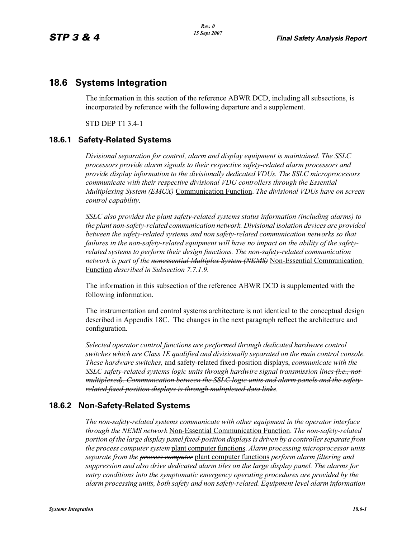## **18.6 Systems Integration**

The information in this section of the reference ABWR DCD, including all subsections, is incorporated by reference with the following departure and a supplement.

STD DEP T1 3.4-1

## **18.6.1 Safety-Related Systems**

*Divisional separation for control, alarm and display equipment is maintained. The SSLC processors provide alarm signals to their respective safety-related alarm processors and provide display information to the divisionally dedicated VDUs. The SSLC microprocessors communicate with their respective divisional VDU controllers through the Essential Multiplexing System (EMUX)* Communication Function. *The divisional VDUs have on screen control capability.*

*SSLC also provides the plant safety-related systems status information (including alarms) to the plant non-safety-related communication network. Divisional isolation devices are provided between the safety-related systems and non safety-related communication networks so that failures in the non-safety-related equipment will have no impact on the ability of the safetyrelated systems to perform their design functions. The non-safety-related communication network is part of the nonessential Multiplex System (NEMS)* Non-Essential Communication Function *described in Subsection 7.7.1.9.*

The information in this subsection of the reference ABWR DCD is supplemented with the following information.

The instrumentation and control systems architecture is not identical to the conceptual design described in Appendix 18C. The changes in the next paragraph reflect the architecture and configuration.

*Selected operator control functions are performed through dedicated hardware control switches which are Class 1E qualified and divisionally separated on the main control console. These hardware switches,* and safety-related fixed-position displays, *communicate with the SSLC safety-related systems logic units through hardwire signal transmission lines (i.e., not multiplexed). Communication between the SSLC logic units and alarm panels and the safetyrelated fixed-position displays is through multiplexed data links.*

## **18.6.2 Non-Safety-Related Systems**

*The non-safety-related systems communicate with other equipment in the operator interface through the NEMS network* Non-Essential Communication Function. *The non-safety-related portion of the large display panel fixed-position displays is driven by a controller separate from the process computer system* plant computer functions. *Alarm processing microprocessor units separate from the process computer* plant computer functions *perform alarm filtering and suppression and also drive dedicated alarm tiles on the large display panel. The alarms for entry conditions into the symptomatic emergency operating procedures are provided by the alarm processing units, both safety and non safety-related. Equipment level alarm information*